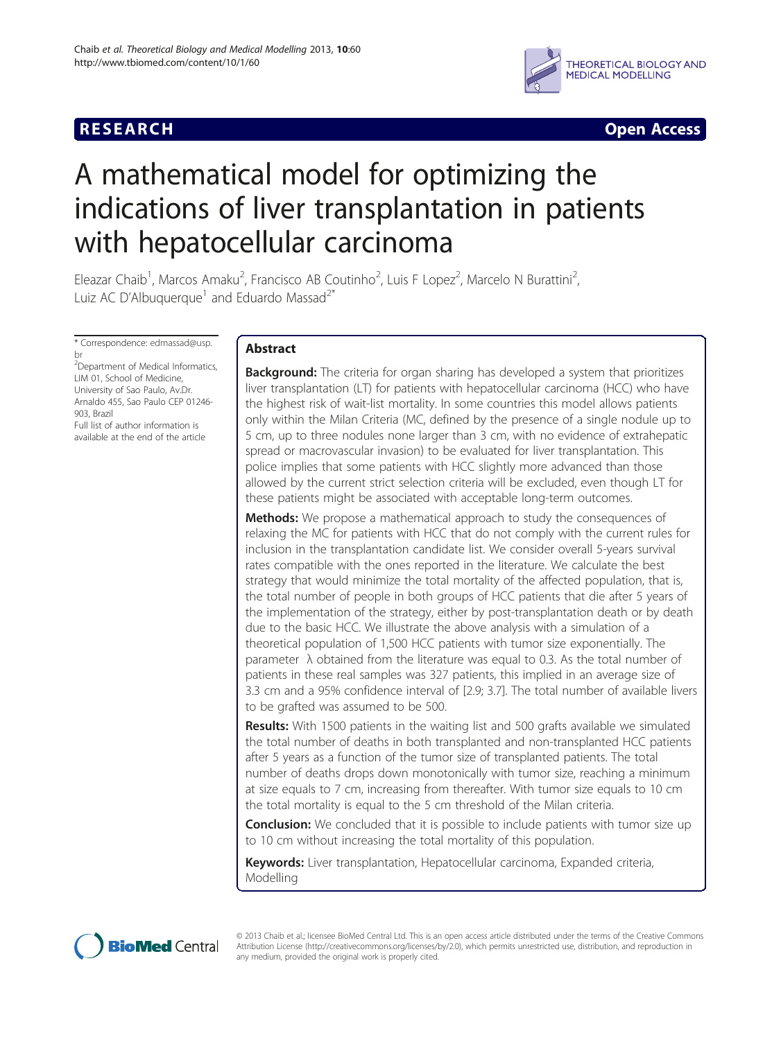

**RESEARCH CHINESE ARCH CHINESE ARCH** 

# A mathematical model for optimizing the indications of liver transplantation in patients with hepatocellular carcinoma

Eleazar Chaib<sup>1</sup>, Marcos Amaku<sup>2</sup>, Francisco AB Coutinho<sup>2</sup>, Luis F Lopez<sup>2</sup>, Marcelo N Burattini<sup>2</sup> , Luiz AC D'Albuquerque<sup>1</sup> and Eduardo Massad<sup>2\*</sup>

\* Correspondence: [edmassad@usp.](mailto:edmassad@usp.br) [br](mailto:edmassad@usp.br) <sup>2</sup>Department of Medical Informatics, LIM 01, School of Medicine, University of Sao Paulo, Av.Dr.

Arnaldo 455, Sao Paulo CEP 01246- 903, Brazil Full list of author information is available at the end of the article

# Abstract

**Background:** The criteria for organ sharing has developed a system that prioritizes liver transplantation (LT) for patients with hepatocellular carcinoma (HCC) who have the highest risk of wait-list mortality. In some countries this model allows patients only within the Milan Criteria (MC, defined by the presence of a single nodule up to 5 cm, up to three nodules none larger than 3 cm, with no evidence of extrahepatic spread or macrovascular invasion) to be evaluated for liver transplantation. This police implies that some patients with HCC slightly more advanced than those allowed by the current strict selection criteria will be excluded, even though LT for these patients might be associated with acceptable long-term outcomes.

**Methods:** We propose a mathematical approach to study the consequences of relaxing the MC for patients with HCC that do not comply with the current rules for inclusion in the transplantation candidate list. We consider overall 5-years survival rates compatible with the ones reported in the literature. We calculate the best strategy that would minimize the total mortality of the affected population, that is, the total number of people in both groups of HCC patients that die after 5 years of the implementation of the strategy, either by post-transplantation death or by death due to the basic HCC. We illustrate the above analysis with a simulation of a theoretical population of 1,500 HCC patients with tumor size exponentially. The parameter  $λ$  obtained from the literature was equal to 0.3. As the total number of patients in these real samples was 327 patients, this implied in an average size of 3.3 cm and a 95% confidence interval of [2.9; 3.7]. The total number of available livers to be grafted was assumed to be 500.

**Results:** With 1500 patients in the waiting list and 500 grafts available we simulated the total number of deaths in both transplanted and non-transplanted HCC patients after 5 years as a function of the tumor size of transplanted patients. The total number of deaths drops down monotonically with tumor size, reaching a minimum at size equals to 7 cm, increasing from thereafter. With tumor size equals to 10 cm the total mortality is equal to the 5 cm threshold of the Milan criteria.

**Conclusion:** We concluded that it is possible to include patients with tumor size up to 10 cm without increasing the total mortality of this population.

Keywords: Liver transplantation, Hepatocellular carcinoma, Expanded criteria, Modelling



© 2013 Chaib et al.; licensee BioMed Central Ltd. This is an open access article distributed under the terms of the Creative Commons Attribution License (<http://creativecommons.org/licenses/by/2.0>), which permits unrestricted use, distribution, and reproduction in any medium, provided the original work is properly cited.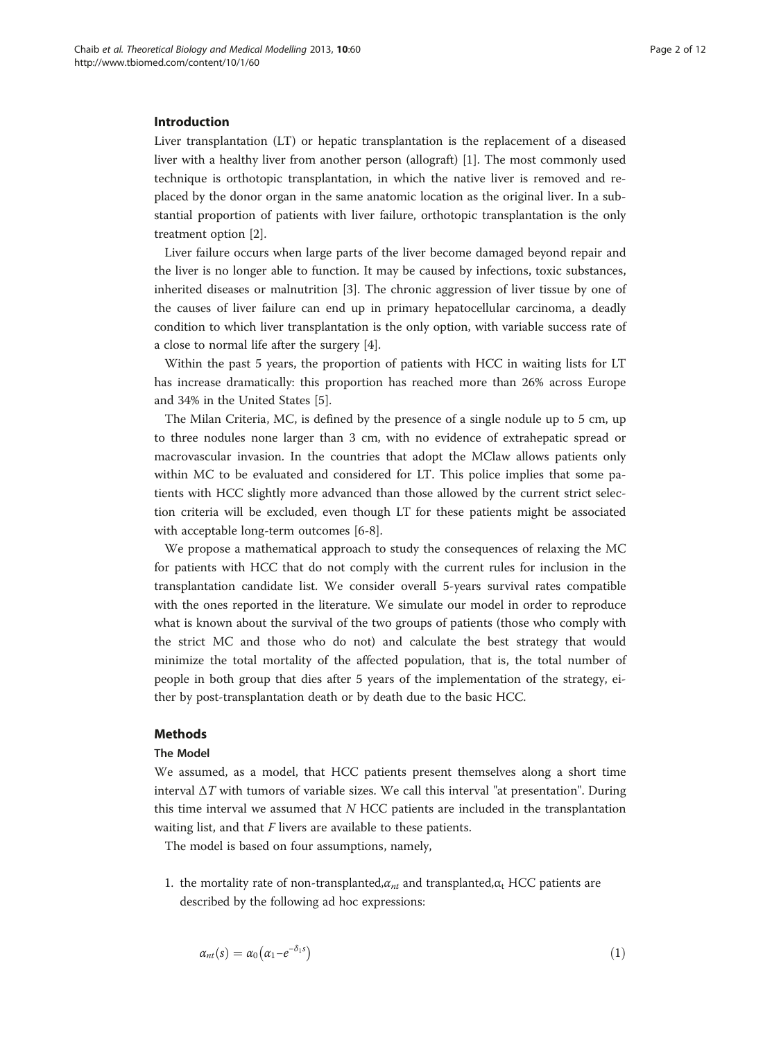# <span id="page-1-0"></span>Introduction

Liver transplantation (LT) or hepatic transplantation is the replacement of a diseased liver with a healthy liver from another person (allograft) [[1\]](#page-10-0). The most commonly used technique is orthotopic transplantation, in which the native liver is removed and replaced by the donor organ in the same anatomic location as the original liver. In a substantial proportion of patients with liver failure, orthotopic transplantation is the only treatment option [\[2](#page-10-0)].

Liver failure occurs when large parts of the liver become damaged beyond repair and the liver is no longer able to function. It may be caused by infections, toxic substances, inherited diseases or malnutrition [[3](#page-10-0)]. The chronic aggression of liver tissue by one of the causes of liver failure can end up in primary hepatocellular carcinoma, a deadly condition to which liver transplantation is the only option, with variable success rate of a close to normal life after the surgery [\[4](#page-10-0)].

Within the past 5 years, the proportion of patients with HCC in waiting lists for LT has increase dramatically: this proportion has reached more than 26% across Europe and 34% in the United States [[5\]](#page-10-0).

The Milan Criteria, MC, is defined by the presence of a single nodule up to 5 cm, up to three nodules none larger than 3 cm, with no evidence of extrahepatic spread or macrovascular invasion. In the countries that adopt the MClaw allows patients only within MC to be evaluated and considered for LT. This police implies that some patients with HCC slightly more advanced than those allowed by the current strict selection criteria will be excluded, even though LT for these patients might be associated with acceptable long-term outcomes [\[6](#page-10-0)-[8\]](#page-10-0).

We propose a mathematical approach to study the consequences of relaxing the MC for patients with HCC that do not comply with the current rules for inclusion in the transplantation candidate list. We consider overall 5-years survival rates compatible with the ones reported in the literature. We simulate our model in order to reproduce what is known about the survival of the two groups of patients (those who comply with the strict MC and those who do not) and calculate the best strategy that would minimize the total mortality of the affected population, that is, the total number of people in both group that dies after 5 years of the implementation of the strategy, either by post-transplantation death or by death due to the basic HCC.

## Methods

# The Model

We assumed, as a model, that HCC patients present themselves along a short time interval  $\Delta T$  with tumors of variable sizes. We call this interval "at presentation". During this time interval we assumed that  $N$  HCC patients are included in the transplantation waiting list, and that  $F$  livers are available to these patients.

The model is based on four assumptions, namely,

1. the mortality rate of non-transplanted, $\alpha_{nt}$  and transplanted, $\alpha_t$  HCC patients are described by the following ad hoc expressions:

$$
\alpha_{nt}(s) = \alpha_0 \big( \alpha_1 - e^{-\delta_1 s} \big) \tag{1}
$$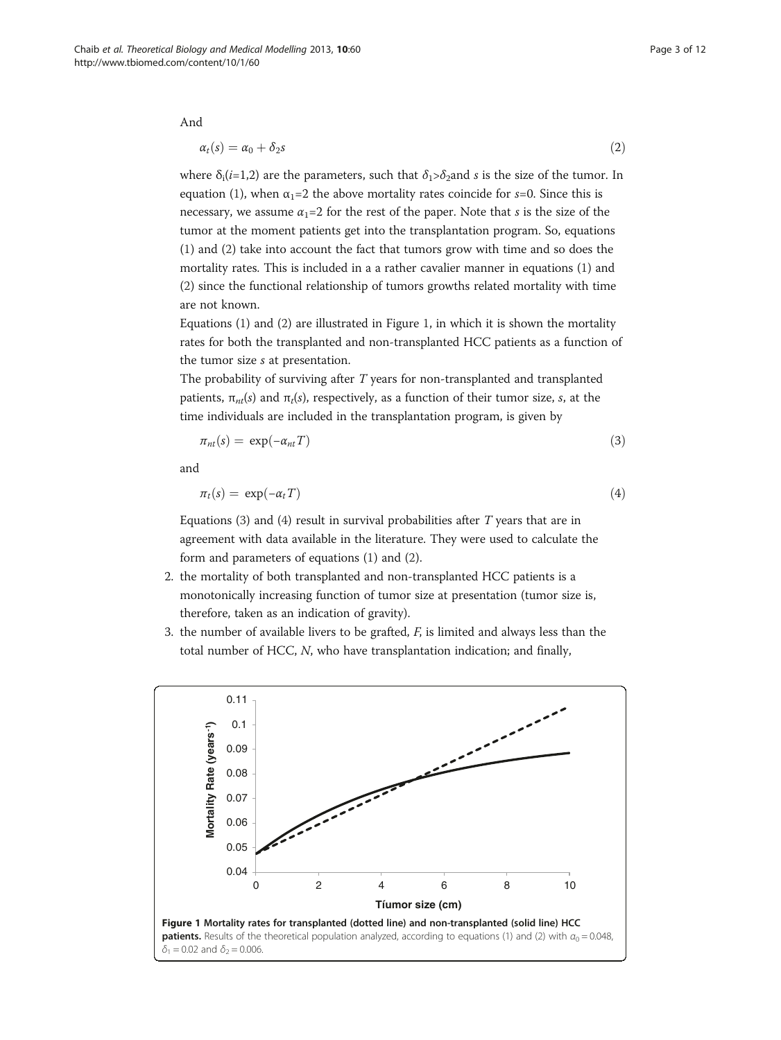And

$$
\alpha_t(s) = \alpha_0 + \delta_2 s \tag{2}
$$

where  $\delta_i(i=1,2)$  are the parameters, such that  $\delta_i > \delta_2$  and s is the size of the tumor. In equation [\(1](#page-1-0)), when  $\alpha_1=2$  the above mortality rates coincide for s=0. Since this is necessary, we assume  $\alpha_1=2$  for the rest of the paper. Note that s is the size of the tumor at the moment patients get into the transplantation program. So, equations [\(1](#page-1-0)) and (2) take into account the fact that tumors grow with time and so does the mortality rates. This is included in a a rather cavalier manner in equations [\(1](#page-1-0)) and (2) since the functional relationship of tumors growths related mortality with time are not known.

Equations [\(1\)](#page-1-0) and (2) are illustrated in Figure 1, in which it is shown the mortality rates for both the transplanted and non-transplanted HCC patients as a function of the tumor size s at presentation.

The probability of surviving after T years for non-transplanted and transplanted patients,  $\pi_{nt}(s)$  and  $\pi_t(s)$ , respectively, as a function of their tumor size, s, at the time individuals are included in the transplantation program, is given by

$$
\pi_{nt}(s) = \exp(-\alpha_{nt}T) \tag{3}
$$

and

$$
\pi_t(s) = \exp(-\alpha_t T) \tag{4}
$$

Equations (3) and (4) result in survival probabilities after  $T$  years that are in agreement with data available in the literature. They were used to calculate the form and parameters of equations [\(1](#page-1-0)) and (2).

- 2. the mortality of both transplanted and non-transplanted HCC patients is a monotonically increasing function of tumor size at presentation (tumor size is, therefore, taken as an indication of gravity).
- 3. the number of available livers to be grafted,  $F$ , is limited and always less than the total number of HCC, N, who have transplantation indication; and finally,

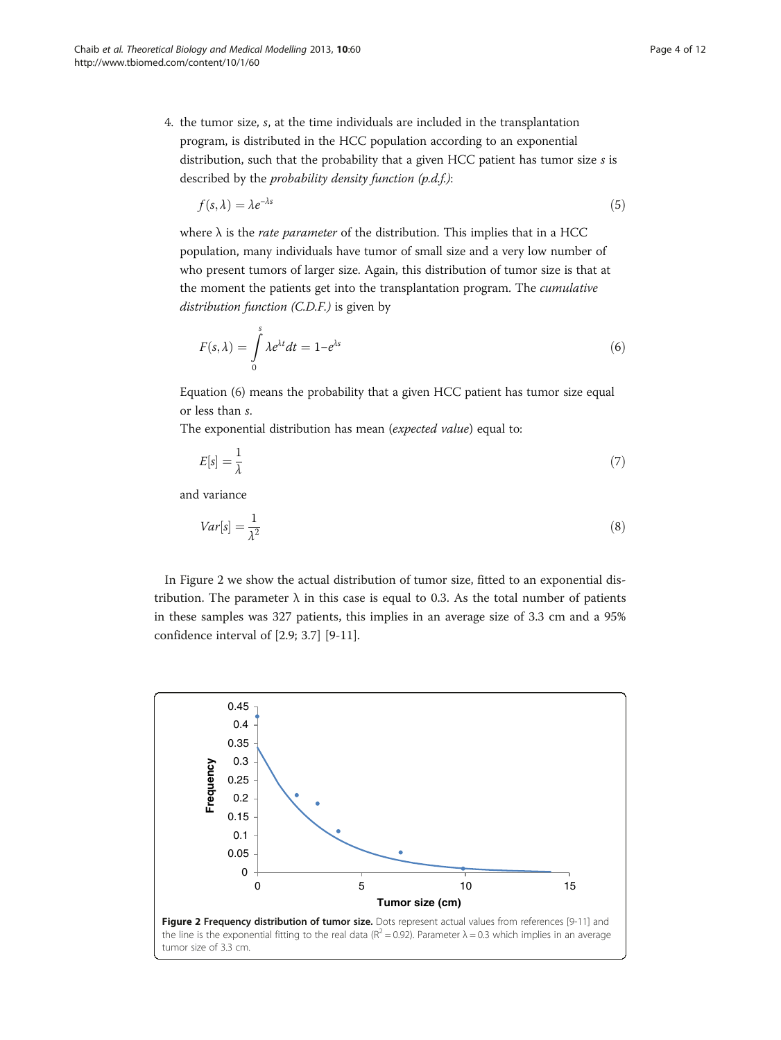<span id="page-3-0"></span>4. the tumor size, s, at the time individuals are included in the transplantation program, is distributed in the HCC population according to an exponential distribution, such that the probability that a given HCC patient has tumor size s is described by the *probability density function* (*p.d.f.*):

$$
f(s,\lambda) = \lambda e^{-\lambda s} \tag{5}
$$

where  $\lambda$  is the *rate parameter* of the distribution. This implies that in a HCC population, many individuals have tumor of small size and a very low number of who present tumors of larger size. Again, this distribution of tumor size is that at the moment the patients get into the transplantation program. The *cumulative* distribution function (C.D.F.) is given by

$$
F(s,\lambda) = \int_{0}^{s} \lambda e^{\lambda t} dt = 1 - e^{\lambda s} \tag{6}
$$

Equation (6) means the probability that a given HCC patient has tumor size equal or less than s.

The exponential distribution has mean (expected value) equal to:

$$
E[s] = \frac{1}{\lambda} \tag{7}
$$

and variance

$$
Var[s] = \frac{1}{\lambda^2} \tag{8}
$$

In Figure 2 we show the actual distribution of tumor size, fitted to an exponential distribution. The parameter  $\lambda$  in this case is equal to 0.3. As the total number of patients in these samples was 327 patients, this implies in an average size of 3.3 cm and a 95% confidence interval of [2.9; 3.7] [\[9-11](#page-10-0)].

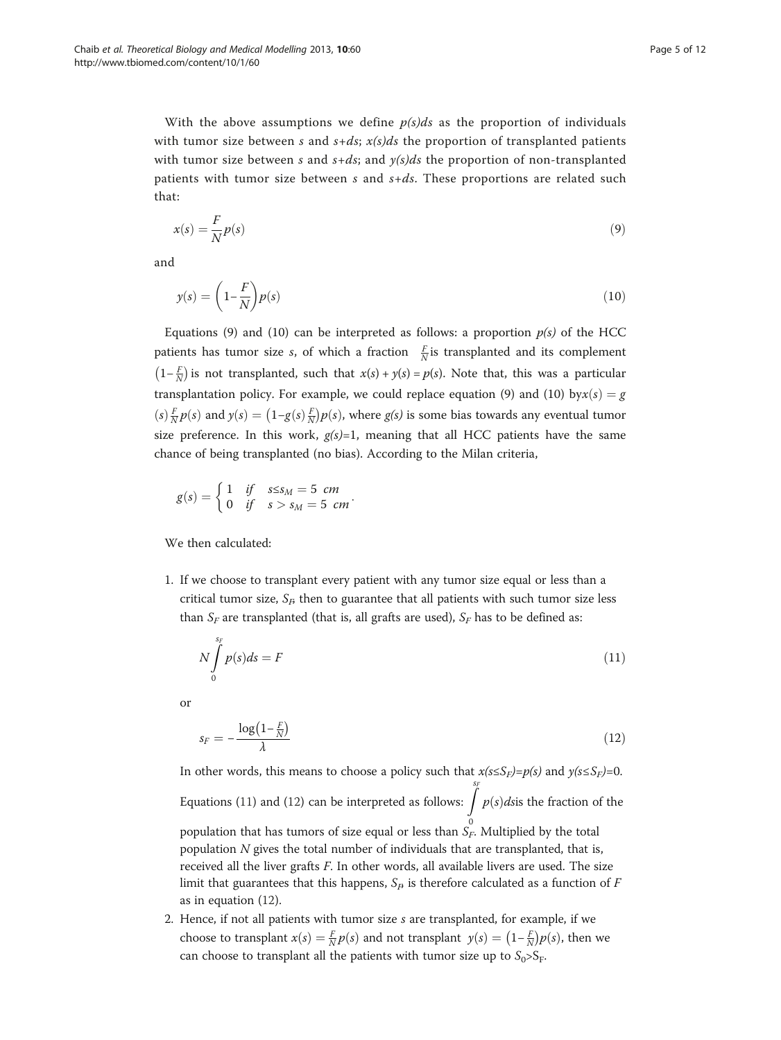With the above assumptions we define  $p(s)ds$  as the proportion of individuals with tumor size between s and  $s+ds$ ;  $x(s)ds$  the proportion of transplanted patients with tumor size between s and  $s+ds$ ; and  $y(s)ds$  the proportion of non-transplanted patients with tumor size between s and  $s+ds$ . These proportions are related such that:

$$
x(s) = \frac{F}{N}p(s) \tag{9}
$$

and

$$
y(s) = \left(1 - \frac{F}{N}\right)p(s) \tag{10}
$$

Equations (9) and (10) can be interpreted as follows: a proportion  $p(s)$  of the HCC patients has tumor size *s*, of which a fraction  $\frac{F}{N}$  is transplanted and its complement  $(1-\frac{F}{N})$  is not transplanted, such that  $x(s) + y(s) = p(s)$ . Note that, this was a particular transplantation policy. For example, we could replace equation (9) and (10) by $x(s) = g$  $(s) \frac{F}{N} p(s)$  and  $y(s) = (1 - g(s) \frac{F}{N} p(s)$ , where  $g(s)$  is some bias towards any eventual tumor size preference. In this work,  $g(s)=1$ , meaning that all HCC patients have the same chance of being transplanted (no bias). According to the Milan criteria,

$$
g(s) = \begin{cases} 1 & \text{if } s \leq s_M = 5 \text{ cm} \\ 0 & \text{if } s > s_M = 5 \text{ cm} \end{cases}.
$$

We then calculated:

1. If we choose to transplant every patient with any tumor size equal or less than a critical tumor size,  $S_F$  then to guarantee that all patients with such tumor size less than  $S_F$  are transplanted (that is, all grafts are used),  $S_F$  has to be defined as:

$$
N\int_{0}^{s_F} p(s)ds = F \tag{11}
$$

or

$$
s_F = -\frac{\log\left(1 - \frac{F}{N}\right)}{\lambda} \tag{12}
$$

In other words, this means to choose a policy such that  $x(s \leq S_F) = p(s)$  and  $y(s \leq S_F) = 0$ . Equations (11) and (12) can be interpreted as follows:  $\int_{c}^{s_F} p(s) ds$  is the fraction of the population that has tumors of size equal or less than  $\stackrel{0}{S_{F}}$ . Multiplied by the total population  $N$  gives the total number of individuals that are transplanted, that is, received all the liver grafts  $F$ . In other words, all available livers are used. The size limit that guarantees that this happens,  $S<sub>F</sub>$  is therefore calculated as a function of F as in equation (12).

2. Hence, if not all patients with tumor size  $s$  are transplanted, for example, if we choose to transplant  $x(s) = \frac{F}{N} p(s)$  and not transplant  $y(s) = (1 - \frac{F}{N}) p(s)$ , then we can choose to transplant all the patients with tumor size up to  $S_0 > S_F$ .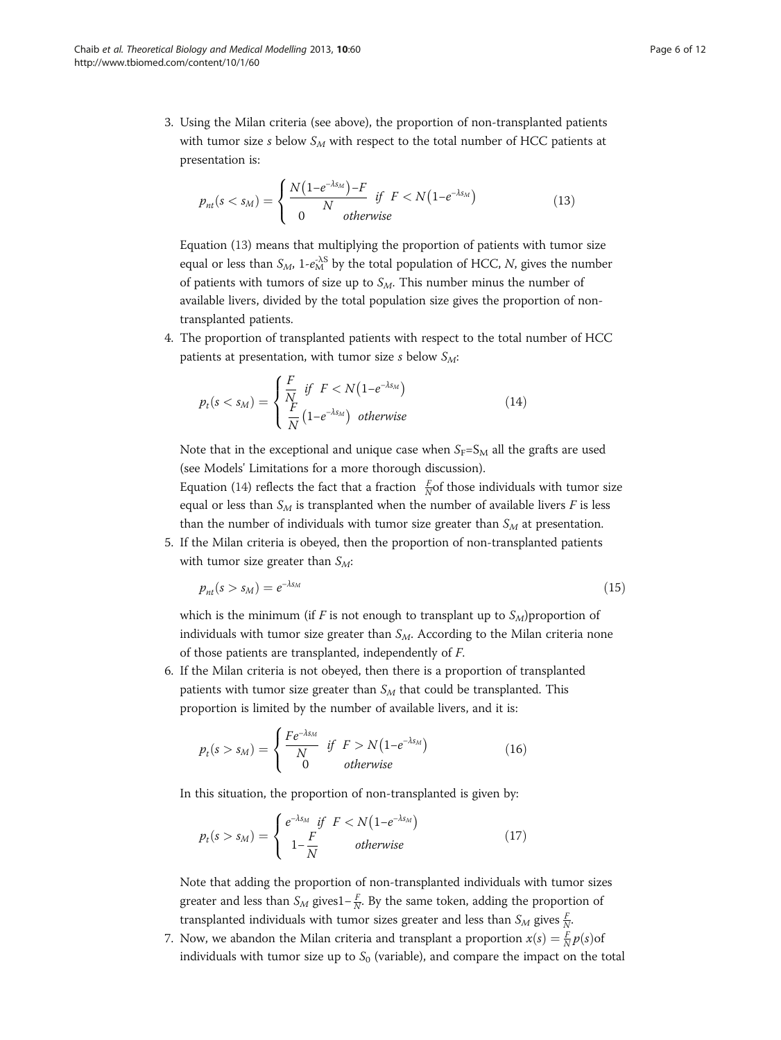<span id="page-5-0"></span>3. Using the Milan criteria (see above), the proportion of non-transplanted patients with tumor size s below  $S_M$  with respect to the total number of HCC patients at presentation is:

$$
p_{nt}(s < s_M) = \begin{cases} \frac{N(1 - e^{-\lambda s_M}) - F}{N} & \text{if } F < N(1 - e^{-\lambda s_M})\\ 0 & \text{otherwise} \end{cases} \tag{13}
$$

Equation (13) means that multiplying the proportion of patients with tumor size equal or less than  $S_M$ , 1- $e_M^{-\lambda S}$  by the total population of HCC, N, gives the number of patients with tumors of size up to  $S_M$ . This number minus the number of available livers, divided by the total population size gives the proportion of nontransplanted patients.

4. The proportion of transplanted patients with respect to the total number of HCC patients at presentation, with tumor size s below  $S_M$ :

$$
p_t(s < s_M) = \begin{cases} \frac{F}{N} & \text{if } F < N\left(1 - e^{-\lambda s_M}\right) \\ \frac{F}{N}\left(1 - e^{-\lambda s_M}\right) & \text{otherwise} \end{cases} \tag{14}
$$

Note that in the exceptional and unique case when  $S_F=S_M$  all the grafts are used (see Models' Limitations for a more thorough discussion).

Equation (14) reflects the fact that a fraction  $\frac{F}{N}$ of those individuals with tumor size equal or less than  $S_M$  is transplanted when the number of available livers F is less than the number of individuals with tumor size greater than  $S_M$  at presentation.

5. If the Milan criteria is obeyed, then the proportion of non-transplanted patients with tumor size greater than  $S_M$ :

$$
p_{nt}(s > s_M) = e^{-\lambda s_M} \tag{15}
$$

which is the minimum (if F is not enough to transplant up to  $S_M$ ) proportion of individuals with tumor size greater than  $S_M$ . According to the Milan criteria none of those patients are transplanted, independently of F.

6. If the Milan criteria is not obeyed, then there is a proportion of transplanted patients with tumor size greater than  $S_M$  that could be transplanted. This proportion is limited by the number of available livers, and it is:

$$
p_t(s > s_M) = \begin{cases} \frac{Fe^{-\lambda s_M}}{N} & \text{if } F > N(1 - e^{-\lambda s_M})\\ 0 & \text{otherwise} \end{cases}
$$
(16)

In this situation, the proportion of non-transplanted is given by:

$$
p_t(s > s_M) = \begin{cases} e^{-\lambda s_M} & \text{if } F < N(1 - e^{-\lambda s_M})\\ 1 - \frac{F}{N} & \text{otherwise} \end{cases}
$$
(17)

Note that adding the proportion of non-transplanted individuals with tumor sizes greater and less than  $S_M$  gives1– $\frac{F}{N}$ . By the same token, adding the proportion of transplanted individuals with tumor sizes greater and less than  $S_M$  gives  $\frac{F}{N}$ .

7. Now, we abandon the Milan criteria and transplant a proportion  $x(s) = \frac{F}{N}p(s)$ of individuals with tumor size up to  $S_0$  (variable), and compare the impact on the total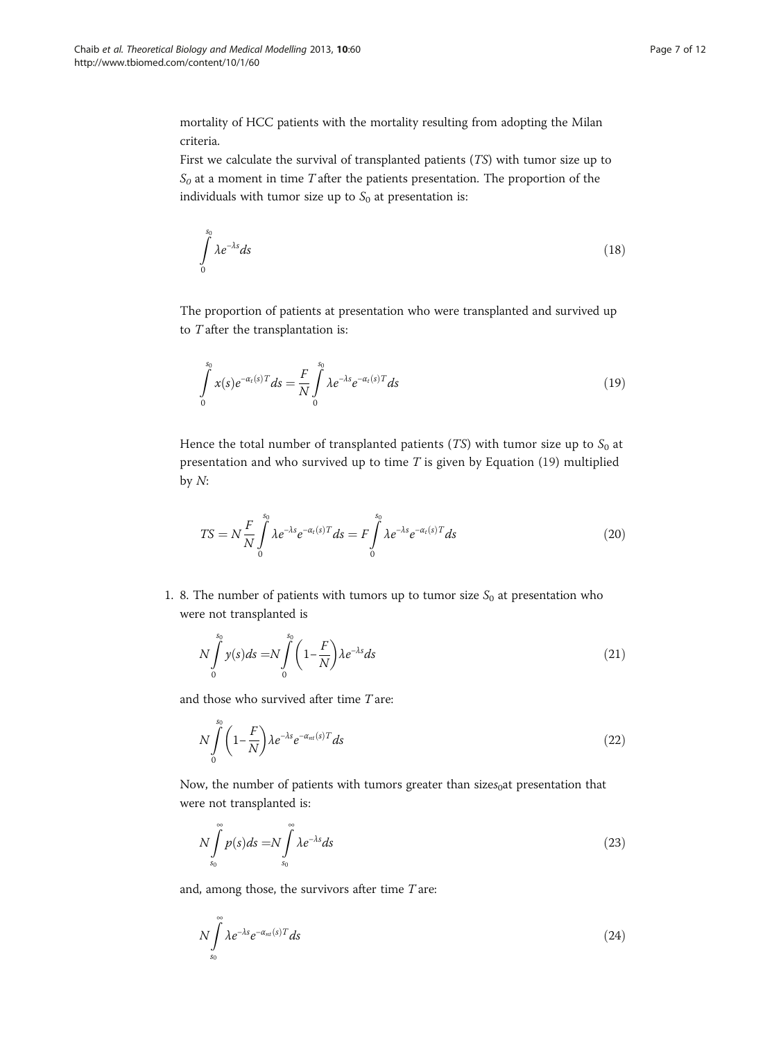<span id="page-6-0"></span>mortality of HCC patients with the mortality resulting from adopting the Milan criteria.

First we calculate the survival of transplanted patients (TS) with tumor size up to  $S_0$  at a moment in time T after the patients presentation. The proportion of the individuals with tumor size up to  $S_0$  at presentation is:

$$
\int_{0}^{s_0} \lambda e^{-\lambda s} ds \tag{18}
$$

The proportion of patients at presentation who were transplanted and survived up to  $T$  after the transplantation is:

$$
\int_{0}^{s_0} x(s)e^{-\alpha_t(s)T}ds = \frac{F}{N} \int_{0}^{s_0} \lambda e^{-\lambda s}e^{-\alpha_t(s)T}ds
$$
\n(19)

Hence the total number of transplanted patients (TS) with tumor size up to  $S_0$  at presentation and who survived up to time  $T$  is given by Equation (19) multiplied by  $N$ :

$$
TS = N \frac{F}{N} \int_{0}^{s_0} \lambda e^{-\lambda s} e^{-\alpha_t(s)T} ds = F \int_{0}^{s_0} \lambda e^{-\lambda s} e^{-\alpha_t(s)T} ds
$$
 (20)

1. 8. The number of patients with tumors up to tumor size  $S_0$  at presentation who were not transplanted is

$$
N\int_{0}^{s_0} y(s)ds = N\int_{0}^{s_0} \left(1 - \frac{F}{N}\right) \lambda e^{-\lambda s}ds
$$
\n(21)

and those who survived after time T are:

$$
N\int_{0}^{s_0} \left(1 - \frac{F}{N}\right) \lambda e^{-\lambda s} e^{-\alpha_{nt}(s)T} ds
$$
\n(22)

Now, the number of patients with tumors greater than sizes $_0$ at presentation that were not transplanted is:

$$
N\int_{s_0}^{\infty} p(s)ds = N\int_{s_0}^{\infty} \lambda e^{-\lambda s}ds
$$
\n(23)

and, among those, the survivors after time  $T$  are:

$$
N\int_{s_0}^{\infty} \lambda e^{-\lambda s} e^{-\alpha_{nt}(s)T} ds \tag{24}
$$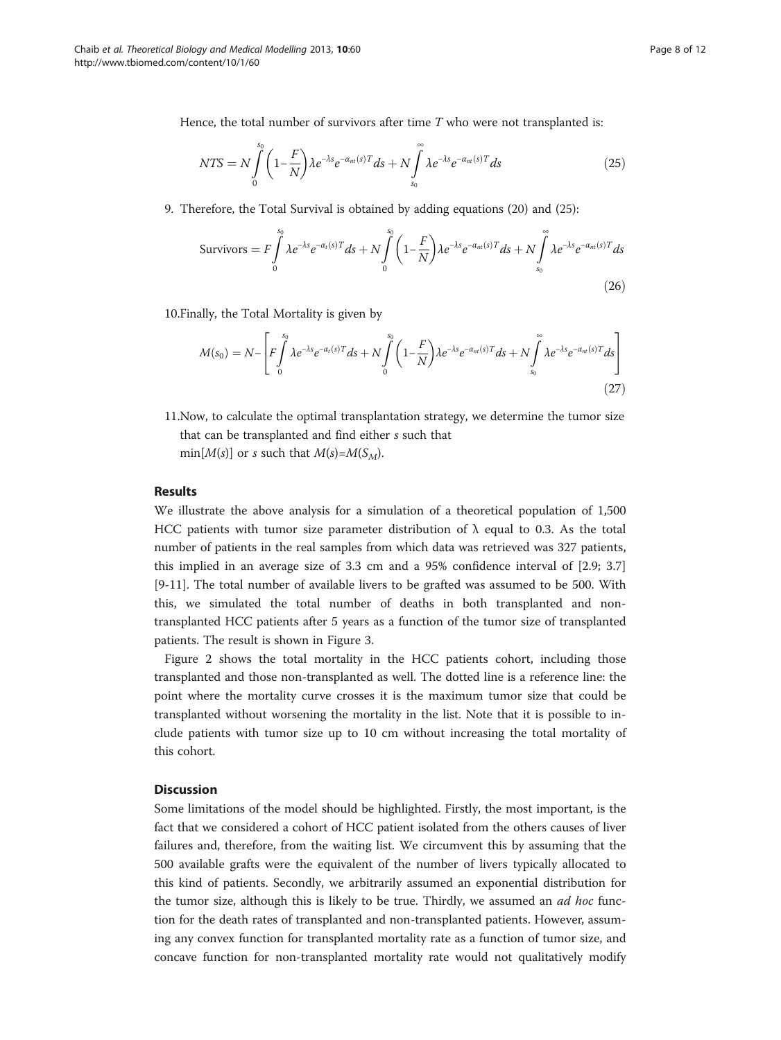Hence, the total number of survivors after time  $T$  who were not transplanted is:

$$
NTS = N \int_{0}^{s_0} \left( 1 - \frac{F}{N} \right) \lambda e^{-\lambda s} e^{-\alpha_{nt}(s)T} ds + N \int_{s_0}^{\infty} \lambda e^{-\lambda s} e^{-\alpha_{nt}(s)T} ds \tag{25}
$$

9. Therefore, the Total Survival is obtained by adding equations [\(20\)](#page-6-0) and (25):

$$
\text{Survivors} = F \int\limits_{0}^{s_0} \lambda e^{-\lambda s} e^{-\alpha_t(s)T} ds + N \int\limits_{0}^{s_0} \left(1 - \frac{F}{N}\right) \lambda e^{-\lambda s} e^{-\alpha_m(s)T} ds + N \int\limits_{s_0}^{\infty} \lambda e^{-\lambda s} e^{-\alpha_m(s)T} ds \tag{26}
$$

10.Finally, the Total Mortality is given by

$$
M(s_0) = N - \left[ F \int_{0}^{s_0} \lambda e^{-\lambda s} e^{-\alpha_t(s)T} ds + N \int_{0}^{s_0} \left( 1 - \frac{F}{N} \right) \lambda e^{-\lambda s} e^{-\alpha_{nt}(s)T} ds + N \int_{s_0}^{\infty} \lambda e^{-\lambda s} e^{-\alpha_{nt}(s)T} ds \right]
$$
(27)

11.Now, to calculate the optimal transplantation strategy, we determine the tumor size that can be transplanted and find either s such that min[ $M(s)$ ] or s such that  $M(s) = M(S_M)$ .

# Results

We illustrate the above analysis for a simulation of a theoretical population of 1,500 HCC patients with tumor size parameter distribution of  $\lambda$  equal to 0.3. As the total number of patients in the real samples from which data was retrieved was 327 patients, this implied in an average size of 3.3 cm and a 95% confidence interval of [2.9; 3.7] [[9-11](#page-10-0)]. The total number of available livers to be grafted was assumed to be 500. With this, we simulated the total number of deaths in both transplanted and nontransplanted HCC patients after 5 years as a function of the tumor size of transplanted patients. The result is shown in Figure [3](#page-8-0).

Figure [2](#page-3-0) shows the total mortality in the HCC patients cohort, including those transplanted and those non-transplanted as well. The dotted line is a reference line: the point where the mortality curve crosses it is the maximum tumor size that could be transplanted without worsening the mortality in the list. Note that it is possible to include patients with tumor size up to 10 cm without increasing the total mortality of this cohort.

# **Discussion**

Some limitations of the model should be highlighted. Firstly, the most important, is the fact that we considered a cohort of HCC patient isolated from the others causes of liver failures and, therefore, from the waiting list. We circumvent this by assuming that the 500 available grafts were the equivalent of the number of livers typically allocated to this kind of patients. Secondly, we arbitrarily assumed an exponential distribution for the tumor size, although this is likely to be true. Thirdly, we assumed an  $ad$  hoc function for the death rates of transplanted and non-transplanted patients. However, assuming any convex function for transplanted mortality rate as a function of tumor size, and concave function for non-transplanted mortality rate would not qualitatively modify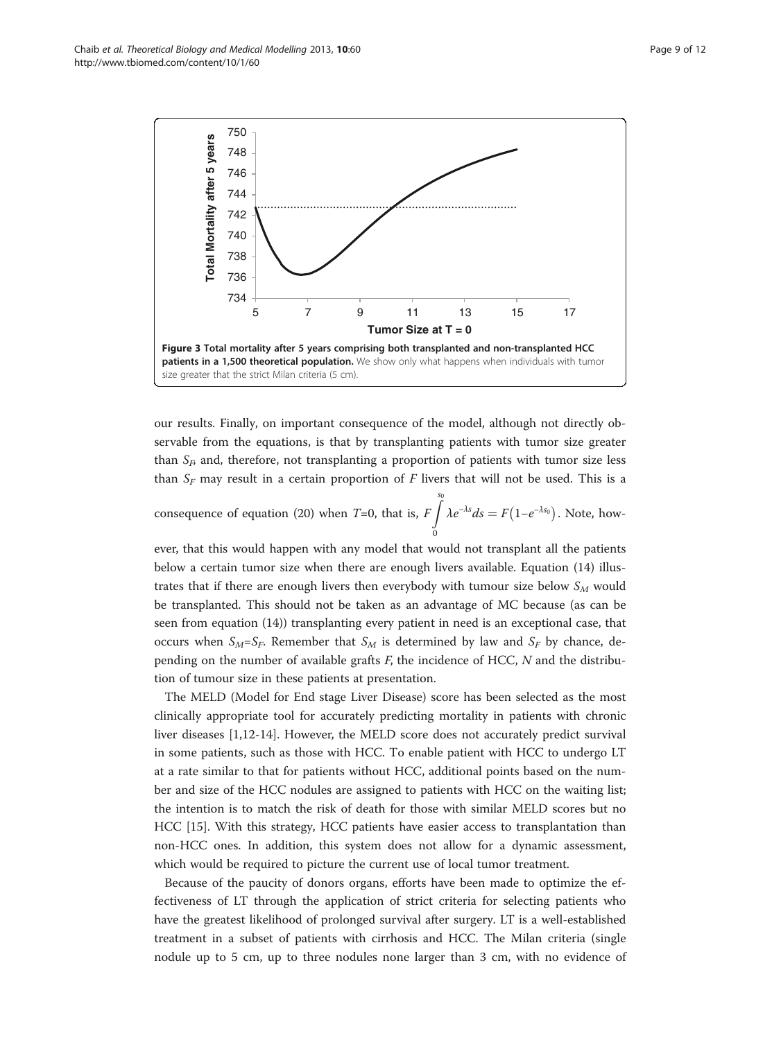<span id="page-8-0"></span>Chaib et al. Theoretical Biology and Medical Modelling 2013, 10:60 Page 9 of 12 http://www.tbiomed.com/content/10/1/60



our results. Finally, on important consequence of the model, although not directly observable from the equations, is that by transplanting patients with tumor size greater than  $S<sub>B</sub>$  and, therefore, not transplanting a proportion of patients with tumor size less than  $S_F$  may result in a certain proportion of F livers that will not be used. This is a

consequence of equation ([20\)](#page-6-0) when *T*=0, that is,  $F \int_{0}^{s_0} \lambda e^{-\lambda s} ds = F(1 - e^{-\lambda s_0})$ . Note, how-0

ever, that this would happen with any model that would not transplant all the patients below a certain tumor size when there are enough livers available. Equation ([14](#page-5-0)) illustrates that if there are enough livers then everybody with tumour size below  $S_M$  would be transplanted. This should not be taken as an advantage of MC because (as can be seen from equation [\(14\)](#page-5-0)) transplanting every patient in need is an exceptional case, that occurs when  $S_M=S_F$ . Remember that  $S_M$  is determined by law and  $S_F$  by chance, depending on the number of available grafts  $F$ , the incidence of HCC,  $N$  and the distribution of tumour size in these patients at presentation.

The MELD (Model for End stage Liver Disease) score has been selected as the most clinically appropriate tool for accurately predicting mortality in patients with chronic liver diseases [[1,12-14](#page-10-0)]. However, the MELD score does not accurately predict survival in some patients, such as those with HCC. To enable patient with HCC to undergo LT at a rate similar to that for patients without HCC, additional points based on the number and size of the HCC nodules are assigned to patients with HCC on the waiting list; the intention is to match the risk of death for those with similar MELD scores but no HCC [\[15](#page-10-0)]. With this strategy, HCC patients have easier access to transplantation than non-HCC ones. In addition, this system does not allow for a dynamic assessment, which would be required to picture the current use of local tumor treatment.

Because of the paucity of donors organs, efforts have been made to optimize the effectiveness of LT through the application of strict criteria for selecting patients who have the greatest likelihood of prolonged survival after surgery. LT is a well-established treatment in a subset of patients with cirrhosis and HCC. The Milan criteria (single nodule up to 5 cm, up to three nodules none larger than 3 cm, with no evidence of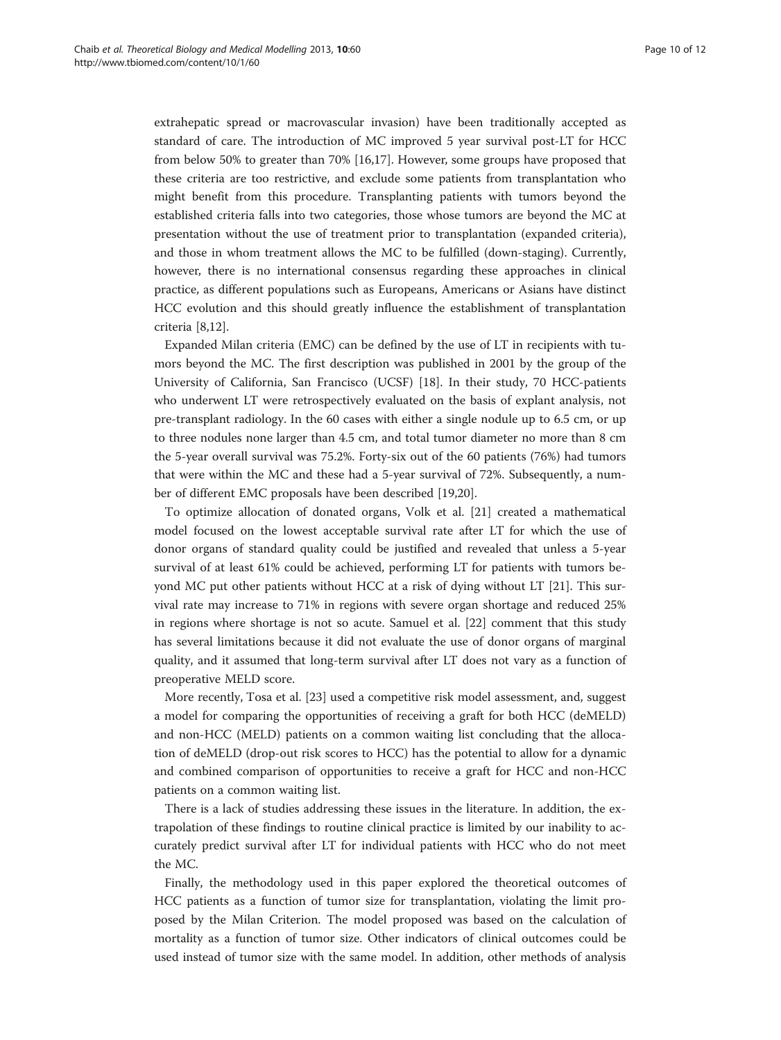extrahepatic spread or macrovascular invasion) have been traditionally accepted as standard of care. The introduction of MC improved 5 year survival post-LT for HCC from below 50% to greater than 70% [\[16,17](#page-10-0)]. However, some groups have proposed that these criteria are too restrictive, and exclude some patients from transplantation who might benefit from this procedure. Transplanting patients with tumors beyond the established criteria falls into two categories, those whose tumors are beyond the MC at presentation without the use of treatment prior to transplantation (expanded criteria), and those in whom treatment allows the MC to be fulfilled (down-staging). Currently, however, there is no international consensus regarding these approaches in clinical practice, as different populations such as Europeans, Americans or Asians have distinct HCC evolution and this should greatly influence the establishment of transplantation criteria [[8](#page-10-0),[12](#page-10-0)].

Expanded Milan criteria (EMC) can be defined by the use of LT in recipients with tumors beyond the MC. The first description was published in 2001 by the group of the University of California, San Francisco (UCSF) [[18\]](#page-10-0). In their study, 70 HCC-patients who underwent LT were retrospectively evaluated on the basis of explant analysis, not pre-transplant radiology. In the 60 cases with either a single nodule up to 6.5 cm, or up to three nodules none larger than 4.5 cm, and total tumor diameter no more than 8 cm the 5-year overall survival was 75.2%. Forty-six out of the 60 patients (76%) had tumors that were within the MC and these had a 5-year survival of 72%. Subsequently, a number of different EMC proposals have been described [[19,](#page-10-0)[20\]](#page-11-0).

To optimize allocation of donated organs, Volk et al. [[21\]](#page-11-0) created a mathematical model focused on the lowest acceptable survival rate after LT for which the use of donor organs of standard quality could be justified and revealed that unless a 5-year survival of at least 61% could be achieved, performing LT for patients with tumors beyond MC put other patients without HCC at a risk of dying without LT [[21\]](#page-11-0). This survival rate may increase to 71% in regions with severe organ shortage and reduced 25% in regions where shortage is not so acute. Samuel et al. [\[22\]](#page-11-0) comment that this study has several limitations because it did not evaluate the use of donor organs of marginal quality, and it assumed that long-term survival after LT does not vary as a function of preoperative MELD score.

More recently, Tosa et al. [\[23\]](#page-11-0) used a competitive risk model assessment, and, suggest a model for comparing the opportunities of receiving a graft for both HCC (deMELD) and non-HCC (MELD) patients on a common waiting list concluding that the allocation of deMELD (drop-out risk scores to HCC) has the potential to allow for a dynamic and combined comparison of opportunities to receive a graft for HCC and non-HCC patients on a common waiting list.

There is a lack of studies addressing these issues in the literature. In addition, the extrapolation of these findings to routine clinical practice is limited by our inability to accurately predict survival after LT for individual patients with HCC who do not meet the MC.

Finally, the methodology used in this paper explored the theoretical outcomes of HCC patients as a function of tumor size for transplantation, violating the limit proposed by the Milan Criterion. The model proposed was based on the calculation of mortality as a function of tumor size. Other indicators of clinical outcomes could be used instead of tumor size with the same model. In addition, other methods of analysis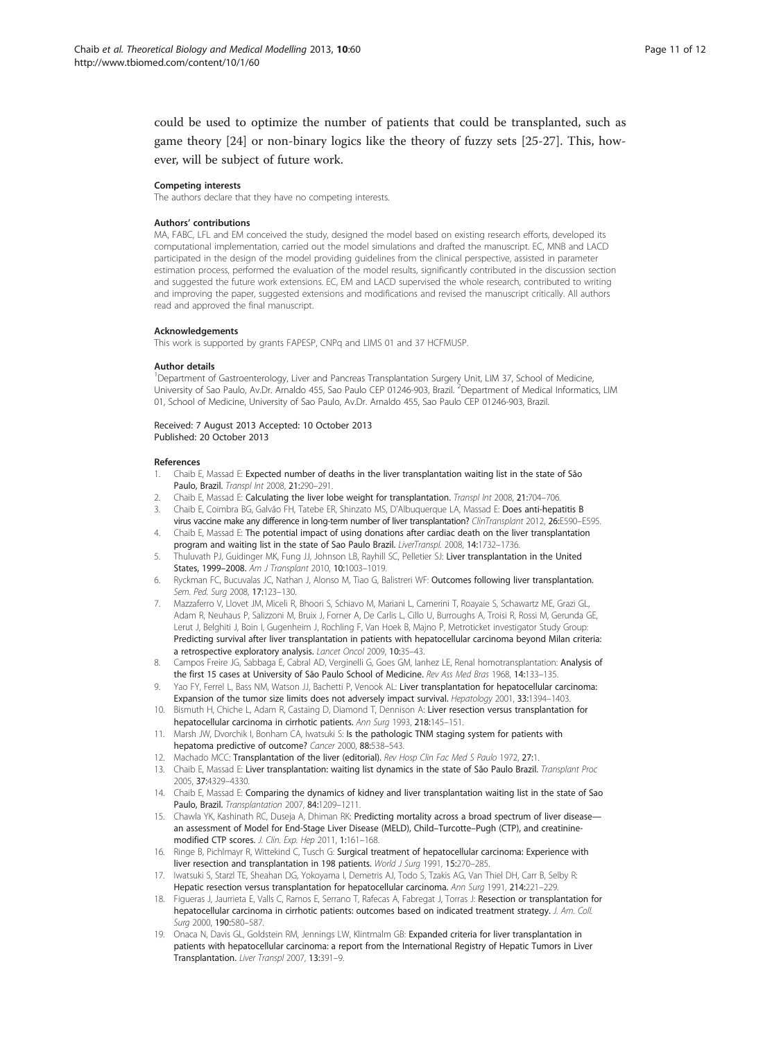<span id="page-10-0"></span>could be used to optimize the number of patients that could be transplanted, such as game theory [\[24](#page-11-0)] or non-binary logics like the theory of fuzzy sets [[25-27](#page-11-0)]. This, however, will be subject of future work.

### Competing interests

The authors declare that they have no competing interests.

#### Authors' contributions

MA, FABC, LFL and EM conceived the study, designed the model based on existing research efforts, developed its computational implementation, carried out the model simulations and drafted the manuscript. EC, MNB and LACD participated in the design of the model providing guidelines from the clinical perspective, assisted in parameter estimation process, performed the evaluation of the model results, significantly contributed in the discussion section and suggested the future work extensions. EC, EM and LACD supervised the whole research, contributed to writing and improving the paper, suggested extensions and modifications and revised the manuscript critically. All authors read and approved the final manuscript.

#### Acknowledgements

This work is supported by grants FAPESP, CNPq and LIMS 01 and 37 HCFMUSP.

#### Author details

<sup>1</sup>Department of Gastroenterology, Liver and Pancreas Transplantation Surgery Unit, LIM 37, School of Medicine, University of Sao Paulo, Av.Dr. Arnaldo 455, Sao Paulo CEP 01246-903, Brazil.<sup>2</sup>Department of Medical Informatics, LIM 01, School of Medicine, University of Sao Paulo, Av.Dr. Arnaldo 455, Sao Paulo CEP 01246-903, Brazil.

#### Received: 7 August 2013 Accepted: 10 October 2013 Published: 20 October 2013

#### References

- 1. Chaib E, Massad E: Expected number of deaths in the liver transplantation waiting list in the state of São Paulo, Brazil. Transpl Int 2008, 21:290–291.
- Chaib E, Massad E: Calculating the liver lobe weight for transplantation. Transpl Int 2008, 21:704-706.
- Chaib E, Coimbra BG, Galvão FH, Tatebe ER, Shinzato MS, D'Albuquerque LA, Massad E: Does anti-hepatitis B virus vaccine make any difference in long-term number of liver transplantation? ClinTransplant 2012, 26:E590–E595.
- Chaib E, Massad E: The potential impact of using donations after cardiac death on the liver transplantation program and waiting list in the state of Sao Paulo Brazil. LiverTranspl. 2008, 14:1732-1736.
- 5. Thuluvath PJ, Guidinger MK, Fung JJ, Johnson LB, Rayhill SC, Pelletier SJ: Liver transplantation in the United States, 1999–2008. Am J Transplant 2010, 10:1003–1019.
- 6. Ryckman FC, Bucuvalas JC, Nathan J, Alonso M, Tiao G, Balistreri WF: Outcomes following liver transplantation. Sem. Ped. Surg 2008, 17:123–130.
- 7. Mazzaferro V, Llovet JM, Miceli R, Bhoori S, Schiavo M, Mariani L, Camerini T, Roayaie S, Schawartz ME, Grazi GL, Adam R, Neuhaus P, Salizzoni M, Bruix J, Forner A, De Carlis L, Cillo U, Burroughs A, Troisi R, Rossi M, Gerunda GE, Lerut J, Belghiti J, Boin I, Gugenheim J, Rochling F, Van Hoek B, Majno P, Metroticket investigator Study Group: Predicting survival after liver transplantation in patients with hepatocellular carcinoma beyond Milan criteria: a retrospective exploratory analysis. Lancet Oncol 2009, 10:35–43.
- 8. Campos Freire JG, Sabbaga E, Cabral AD, Verginelli G, Goes GM, lanhez LE, Renal homotransplantation: Analysis of the first 15 cases at University of São Paulo School of Medicine. Rev Ass Med Bras 1968, 14:133–135.
- Yao FY, Ferrel L, Bass NM, Watson JJ, Bachetti P, Venook AL: Liver transplantation for hepatocellular carcinoma: Expansion of the tumor size limits does not adversely impact survival. Hepatology 2001, 33:1394-1403.
- 10. Bismuth H, Chiche L, Adam R, Castaing D, Diamond T, Dennison A: Liver resection versus transplantation for hepatocellular carcinoma in cirrhotic patients. Ann Surg 1993, 218:145–151.
- 11. Marsh JW, Dvorchik I, Bonham CA, Iwatsuki S: Is the pathologic TNM staging system for patients with hepatoma predictive of outcome? Cancer 2000, 88:538–543.
- 12. Machado MCC: Transplantation of the liver (editorial). Rev Hosp Clin Fac Med S Paulo 1972, 27:1.
- 13. Chaib E, Massad E: Liver transplantation: waiting list dynamics in the state of São Paulo Brazil. Transplant Proc 2005, 37:4329–4330.
- 14. Chaib E, Massad E: Comparing the dynamics of kidney and liver transplantation waiting list in the state of Sao Paulo, Brazil. Transplantation 2007, 84:1209–1211.
- 15. Chawla YK, Kashinath RC, Duseja A, Dhiman RK: Predicting mortality across a broad spectrum of liver diseasean assessment of Model for End-Stage Liver Disease (MELD), Child–Turcotte–Pugh (CTP), and creatininemodified CTP scores. J. Clin. Exp. Hep 2011, 1:161–168.
- 16. Ringe B, Pichlmayr R, Wittekind C, Tusch G: Surgical treatment of hepatocellular carcinoma: Experience with liver resection and transplantation in 198 patients. World J Surg 1991, 15:270-285.
- 17. Iwatsuki S, Starzl TE, Sheahan DG, Yokoyama I, Demetris AJ, Todo S, Tzakis AG, Van Thiel DH, Carr B, Selby R: Hepatic resection versus transplantation for hepatocellular carcinoma. Ann Surg 1991, 214:221–229.
- 18. Figueras J, Jaurrieta E, Valls C, Ramos E, Serrano T, Rafecas A, Fabregat J, Torras J: Resection or transplantation for hepatocellular carcinoma in cirrhotic patients: outcomes based on indicated treatment strategy. J. Am. Coll. Surg 2000, 190:580–587.
- 19. Onaca N, Davis GL, Goldstein RM, Jennings LW, Klintmalm GB: Expanded criteria for liver transplantation in patients with hepatocellular carcinoma: a report from the International Registry of Hepatic Tumors in Liver Transplantation. Liver Transpl 2007, 13:391–9.